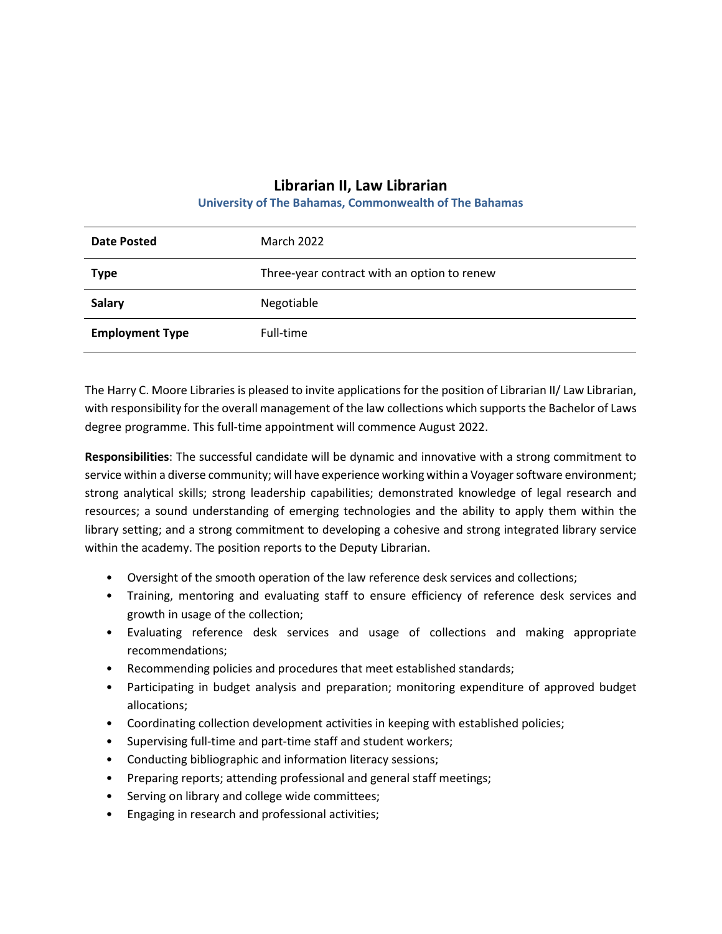## **Librarian II, Law Librarian**

## **University of The Bahamas, Commonwealth of The Bahamas**

| <b>Date Posted</b>     | March 2022                                  |
|------------------------|---------------------------------------------|
| <b>Type</b>            | Three-year contract with an option to renew |
| <b>Salary</b>          | Negotiable                                  |
| <b>Employment Type</b> | Full-time                                   |

The Harry C. Moore Libraries is pleased to invite applications for the position of Librarian II/ Law Librarian, with responsibility for the overall management of the law collections which supports the Bachelor of Laws degree programme. This full-time appointment will commence August 2022.

**Responsibilities**: The successful candidate will be dynamic and innovative with a strong commitment to service within a diverse community; will have experience working within a Voyager software environment; strong analytical skills; strong leadership capabilities; demonstrated knowledge of legal research and resources; a sound understanding of emerging technologies and the ability to apply them within the library setting; and a strong commitment to developing a cohesive and strong integrated library service within the academy. The position reports to the Deputy Librarian.

- Oversight of the smooth operation of the law reference desk services and collections;
- Training, mentoring and evaluating staff to ensure efficiency of reference desk services and growth in usage of the collection;
- Evaluating reference desk services and usage of collections and making appropriate recommendations;
- Recommending policies and procedures that meet established standards;
- Participating in budget analysis and preparation; monitoring expenditure of approved budget allocations;
- Coordinating collection development activities in keeping with established policies;
- Supervising full-time and part-time staff and student workers;
- Conducting bibliographic and information literacy sessions;
- Preparing reports; attending professional and general staff meetings;
- Serving on library and college wide committees;
- Engaging in research and professional activities;